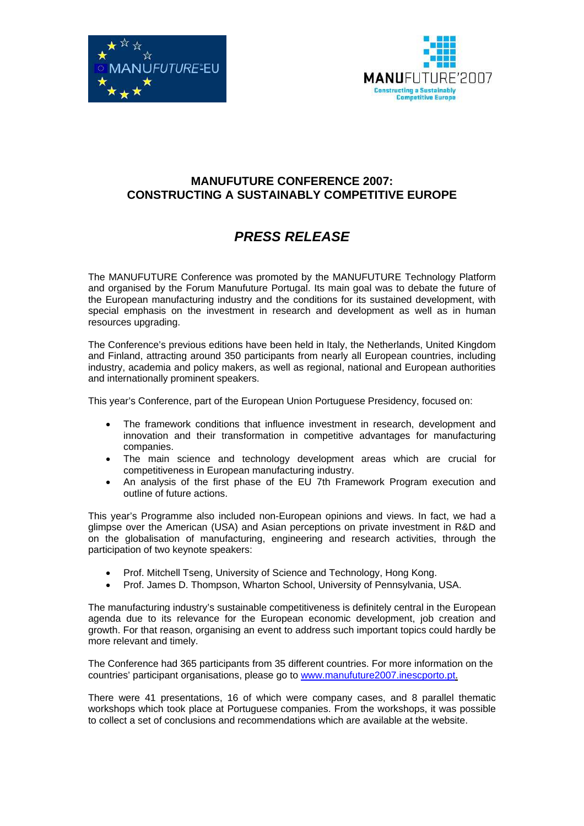



## **MANUFUTURE CONFERENCE 2007: CONSTRUCTING A SUSTAINABLY COMPETITIVE EUROPE**

## **PRESS RELEASE**

The MANUFUTURE Conference was promoted by the MANUFUTURE Technology Platform and organised by the Forum Manufuture Portugal. Its main goal was to debate the future of the European manufacturing industry and the conditions for its sustained development, with special emphasis on the investment in research and development as well as in human resources upgrading.

The Conference's previous editions have been held in Italy, the Netherlands, United Kingdom and Finland, attracting around 350 participants from nearly all European countries, including industry, academia and policy makers, as well as regional, national and European authorities and internationally prominent speakers.

This year's Conference, part of the European Union Portuguese Presidency, focused on:

- The framework conditions that influence investment in research, development and innovation and their transformation in competitive advantages for manufacturing companies.
- The main science and technology development areas which are crucial for competitiveness in European manufacturing industry.
- An analysis of the first phase of the EU 7th Framework Program execution and outline of future actions.

This year's Programme also included non-European opinions and views. In fact, we had a glimpse over the American (USA) and Asian perceptions on private investment in R&D and on the globalisation of manufacturing, engineering and research activities, through the participation of two keynote speakers:

- Prof. Mitchell Tseng, University of Science and Technology, Hong Kong.
- Prof. James D. Thompson, Wharton School, University of Pennsylvania, USA.

The manufacturing industry's sustainable competitiveness is definitely central in the European agenda due to its relevance for the European economic development, job creation and growth. For that reason, organising an event to address such important topics could hardly be more relevant and timely.

The Conference had 365 participants from 35 different countries. For more information on the countries' participant organisations, please go to www.manufuture2007.inescporto.pt.

There were 41 presentations, 16 of which were company cases, and 8 parallel thematic workshops which took place at Portuguese companies. From the workshops, it was possible to collect a set of conclusions and recommendations which are available at the website.